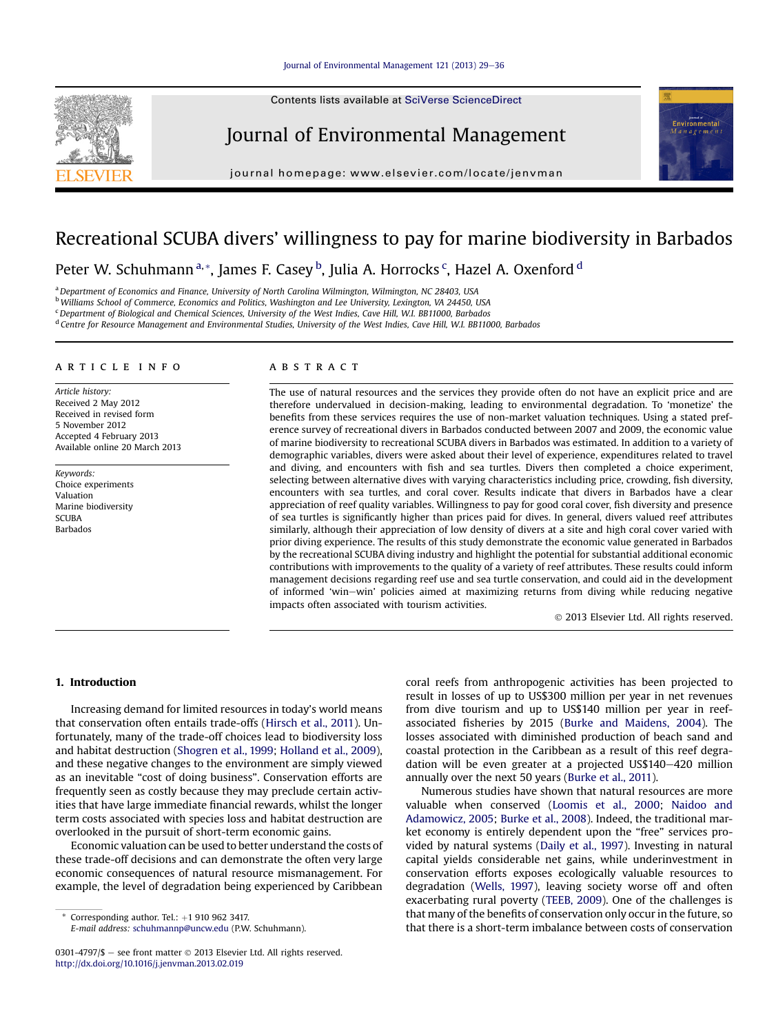#### [Journal of Environmental Management 121 \(2013\) 29](http://dx.doi.org/10.1016/j.jenvman.2013.02.019)-[36](http://dx.doi.org/10.1016/j.jenvman.2013.02.019)

Contents lists available at [SciVerse ScienceDirect](www.sciencedirect.com/science/journal/03014797)



Journal of Environmental Management

journal homepage: [www.elsevier.com/locate/jenvman](http://www.elsevier.com/locate/jenvman)



# Recreational SCUBA divers' willingness to pay for marine biodiversity in Barbados

Peter W. Schuhmann<sup>a,</sup>\*, James F. Casey <sup>b</sup>, Julia A. Horrocks <sup>c</sup>, Hazel A. Oxenford <sup>d</sup>

a Department of Economics and Finance, University of North Carolina Wilmington, Wilmington, NC 28403, USA <sup>b</sup> Williams School of Commerce, Economics and Politics, Washington and Lee University, Lexington, VA 24450, USA  $c$ Department of Biological and Chemical Sciences, University of the West Indies, Cave Hill, W.I. BB11000, Barbados

<sup>d</sup> Centre for Resource Management and Environmental Studies, University of the West Indies, Cave Hill, W.I. BB11000, Barbados

#### article info

Article history: Received 2 May 2012 Received in revised form 5 November 2012 Accepted 4 February 2013 Available online 20 March 2013

Keywords: Choice experiments Valuation Marine biodiversity **SCUBA** Barbados

## **ABSTRACT**

The use of natural resources and the services they provide often do not have an explicit price and are therefore undervalued in decision-making, leading to environmental degradation. To 'monetize' the benefits from these services requires the use of non-market valuation techniques. Using a stated preference survey of recreational divers in Barbados conducted between 2007 and 2009, the economic value of marine biodiversity to recreational SCUBA divers in Barbados was estimated. In addition to a variety of demographic variables, divers were asked about their level of experience, expenditures related to travel and diving, and encounters with fish and sea turtles. Divers then completed a choice experiment, selecting between alternative dives with varying characteristics including price, crowding, fish diversity, encounters with sea turtles, and coral cover. Results indicate that divers in Barbados have a clear appreciation of reef quality variables. Willingness to pay for good coral cover, fish diversity and presence of sea turtles is significantly higher than prices paid for dives. In general, divers valued reef attributes similarly, although their appreciation of low density of divers at a site and high coral cover varied with prior diving experience. The results of this study demonstrate the economic value generated in Barbados by the recreational SCUBA diving industry and highlight the potential for substantial additional economic contributions with improvements to the quality of a variety of reef attributes. These results could inform management decisions regarding reef use and sea turtle conservation, and could aid in the development of informed 'win-win' policies aimed at maximizing returns from diving while reducing negative impacts often associated with tourism activities.

 $©$  2013 Elsevier Ltd. All rights reserved.

# 1. Introduction

Increasing demand for limited resources in today's world means that conservation often entails trade-offs ([Hirsch et al., 2011\)](#page-6-0). Unfortunately, many of the trade-off choices lead to biodiversity loss and habitat destruction [\(Shogren et al., 1999;](#page-7-0) [Holland et al., 2009\)](#page-6-0), and these negative changes to the environment are simply viewed as an inevitable "cost of doing business". Conservation efforts are frequently seen as costly because they may preclude certain activities that have large immediate financial rewards, whilst the longer term costs associated with species loss and habitat destruction are overlooked in the pursuit of short-term economic gains.

Economic valuation can be used to better understand the costs of these trade-off decisions and can demonstrate the often very large economic consequences of natural resource mismanagement. For example, the level of degradation being experienced by Caribbean

E-mail address: [schuhmannp@uncw.edu](mailto:schuhmannp@uncw.edu) (P.W. Schuhmann).

coral reefs from anthropogenic activities has been projected to result in losses of up to US\$300 million per year in net revenues from dive tourism and up to US\$140 million per year in reefassociated fisheries by 2015 [\(Burke and Maidens, 2004\)](#page-6-0). The losses associated with diminished production of beach sand and coastal protection in the Caribbean as a result of this reef degradation will be even greater at a projected US\$140-420 million annually over the next 50 years ([Burke et al., 2011\)](#page-6-0).

Numerous studies have shown that natural resources are more valuable when conserved [\(Loomis et al., 2000;](#page-6-0) [Naidoo and](#page-7-0) [Adamowicz, 2005](#page-7-0); [Burke et al., 2008](#page-6-0)). Indeed, the traditional market economy is entirely dependent upon the "free" services provided by natural systems ([Daily et al., 1997\)](#page-6-0). Investing in natural capital yields considerable net gains, while underinvestment in conservation efforts exposes ecologically valuable resources to degradation ([Wells, 1997\)](#page-7-0), leaving society worse off and often exacerbating rural poverty [\(TEEB, 2009](#page-7-0)). One of the challenges is that many of the benefits of conservation only occur in the future, so that there is a short-term imbalance between costs of conservation

Corresponding author. Tel.:  $+1$  910 962 3417.

<sup>0301-4797/\$ -</sup> see front matter  $\odot$  2013 Elsevier Ltd. All rights reserved. <http://dx.doi.org/10.1016/j.jenvman.2013.02.019>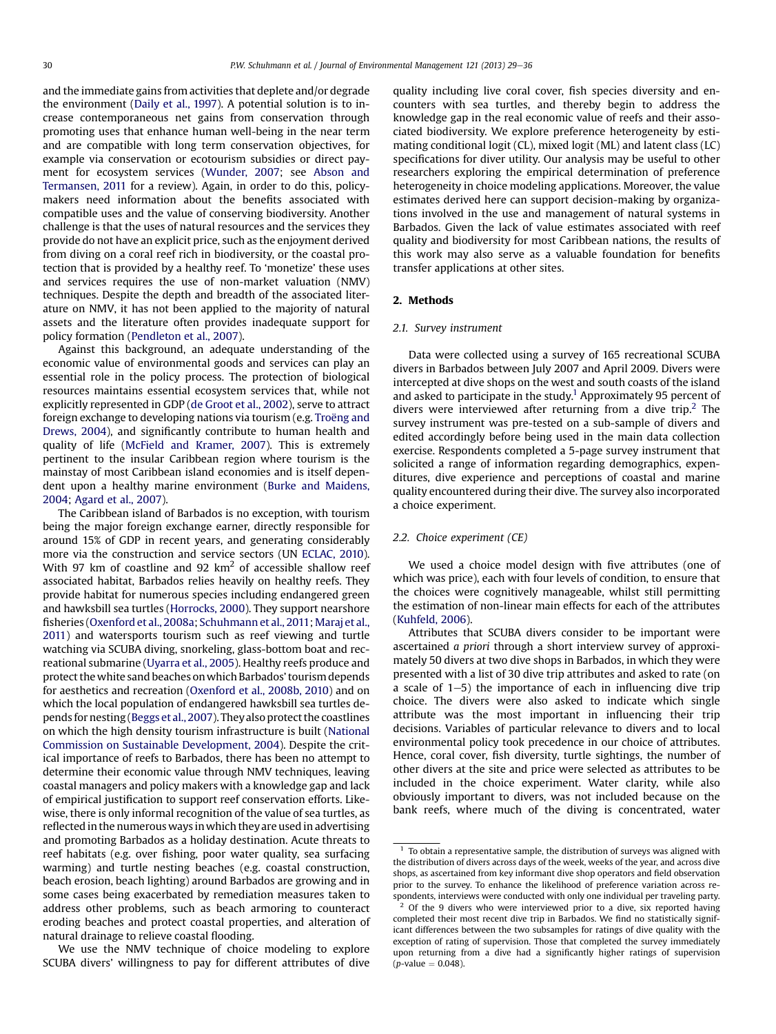and the immediate gains from activities that deplete and/or degrade the environment [\(Daily et al., 1997\)](#page-6-0). A potential solution is to increase contemporaneous net gains from conservation through promoting uses that enhance human well-being in the near term and are compatible with long term conservation objectives, for example via conservation or ecotourism subsidies or direct payment for ecosystem services ([Wunder, 2007;](#page-7-0) see [Abson and](#page-6-0) [Termansen, 2011](#page-6-0) for a review). Again, in order to do this, policymakers need information about the benefits associated with compatible uses and the value of conserving biodiversity. Another challenge is that the uses of natural resources and the services they provide do not have an explicit price, such as the enjoyment derived from diving on a coral reef rich in biodiversity, or the coastal protection that is provided by a healthy reef. To 'monetize' these uses and services requires the use of non-market valuation (NMV) techniques. Despite the depth and breadth of the associated literature on NMV, it has not been applied to the majority of natural assets and the literature often provides inadequate support for policy formation ([Pendleton et al., 2007\)](#page-7-0).

Against this background, an adequate understanding of the economic value of environmental goods and services can play an essential role in the policy process. The protection of biological resources maintains essential ecosystem services that, while not explicitly represented in GDP ([de Groot et al., 2002](#page-6-0)), serve to attract foreign exchange to developing nations via tourism (e.g. [Troëng and](#page-7-0) [Drews, 2004\)](#page-7-0), and significantly contribute to human health and quality of life [\(McField and Kramer, 2007](#page-6-0)). This is extremely pertinent to the insular Caribbean region where tourism is the mainstay of most Caribbean island economies and is itself dependent upon a healthy marine environment [\(Burke and Maidens,](#page-6-0) [2004](#page-6-0); [Agard et al., 2007](#page-6-0)).

The Caribbean island of Barbados is no exception, with tourism being the major foreign exchange earner, directly responsible for around 15% of GDP in recent years, and generating considerably more via the construction and service sectors (UN [ECLAC, 2010](#page-6-0)). With 97 km of coastline and 92  $km^2$  of accessible shallow reef associated habitat, Barbados relies heavily on healthy reefs. They provide habitat for numerous species including endangered green and hawksbill sea turtles ([Horrocks, 2000\)](#page-6-0). They support nearshore fisheries ([Oxenford et al., 2008a](#page-7-0); [Schuhmann et al., 2011;](#page-7-0) [Maraj et al.,](#page-6-0) [2011\)](#page-6-0) and watersports tourism such as reef viewing and turtle watching via SCUBA diving, snorkeling, glass-bottom boat and recreational submarine ([Uyarra et al., 2005\)](#page-7-0). Healthy reefs produce and protect the white sand beaches onwhich Barbados'tourism depends for aesthetics and recreation ([Oxenford et al., 2008b, 2010](#page-7-0)) and on which the local population of endangered hawksbill sea turtles depends for nesting ([Beggs et al., 2007](#page-6-0)). They also protect the coastlines on which the high density tourism infrastructure is built ([National](#page-7-0) [Commission on Sustainable Development, 2004](#page-7-0)). Despite the critical importance of reefs to Barbados, there has been no attempt to determine their economic value through NMV techniques, leaving coastal managers and policy makers with a knowledge gap and lack of empirical justification to support reef conservation efforts. Likewise, there is only informal recognition of the value of sea turtles, as reflected in the numerous ways inwhich they are used in advertising and promoting Barbados as a holiday destination. Acute threats to reef habitats (e.g. over fishing, poor water quality, sea surfacing warming) and turtle nesting beaches (e.g. coastal construction, beach erosion, beach lighting) around Barbados are growing and in some cases being exacerbated by remediation measures taken to address other problems, such as beach armoring to counteract eroding beaches and protect coastal properties, and alteration of natural drainage to relieve coastal flooding.

We use the NMV technique of choice modeling to explore SCUBA divers' willingness to pay for different attributes of dive

quality including live coral cover, fish species diversity and encounters with sea turtles, and thereby begin to address the knowledge gap in the real economic value of reefs and their associated biodiversity. We explore preference heterogeneity by estimating conditional logit (CL), mixed logit (ML) and latent class (LC) specifications for diver utility. Our analysis may be useful to other researchers exploring the empirical determination of preference heterogeneity in choice modeling applications. Moreover, the value estimates derived here can support decision-making by organizations involved in the use and management of natural systems in Barbados. Given the lack of value estimates associated with reef quality and biodiversity for most Caribbean nations, the results of this work may also serve as a valuable foundation for benefits transfer applications at other sites.

## 2. Methods

#### 2.1. Survey instrument

Data were collected using a survey of 165 recreational SCUBA divers in Barbados between July 2007 and April 2009. Divers were intercepted at dive shops on the west and south coasts of the island and asked to participate in the study.<sup>1</sup> Approximately 95 percent of divers were interviewed after returning from a dive trip.<sup>2</sup> The survey instrument was pre-tested on a sub-sample of divers and edited accordingly before being used in the main data collection exercise. Respondents completed a 5-page survey instrument that solicited a range of information regarding demographics, expenditures, dive experience and perceptions of coastal and marine quality encountered during their dive. The survey also incorporated a choice experiment.

# 2.2. Choice experiment (CE)

We used a choice model design with five attributes (one of which was price), each with four levels of condition, to ensure that the choices were cognitively manageable, whilst still permitting the estimation of non-linear main effects for each of the attributes ([Kuhfeld, 2006\)](#page-6-0).

Attributes that SCUBA divers consider to be important were ascertained a priori through a short interview survey of approximately 50 divers at two dive shops in Barbados, in which they were presented with a list of 30 dive trip attributes and asked to rate (on a scale of  $1-5$ ) the importance of each in influencing dive trip choice. The divers were also asked to indicate which single attribute was the most important in influencing their trip decisions. Variables of particular relevance to divers and to local environmental policy took precedence in our choice of attributes. Hence, coral cover, fish diversity, turtle sightings, the number of other divers at the site and price were selected as attributes to be included in the choice experiment. Water clarity, while also obviously important to divers, was not included because on the bank reefs, where much of the diving is concentrated, water

 $1$  To obtain a representative sample, the distribution of surveys was aligned with the distribution of divers across days of the week, weeks of the year, and across dive shops, as ascertained from key informant dive shop operators and field observation prior to the survey. To enhance the likelihood of preference variation across respondents, interviews were conducted with only one individual per traveling party.

 $2$  Of the 9 divers who were interviewed prior to a dive, six reported having completed their most recent dive trip in Barbados. We find no statistically significant differences between the two subsamples for ratings of dive quality with the exception of rating of supervision. Those that completed the survey immediately upon returning from a dive had a significantly higher ratings of supervision  $(p$ -value  $= 0.048$ ).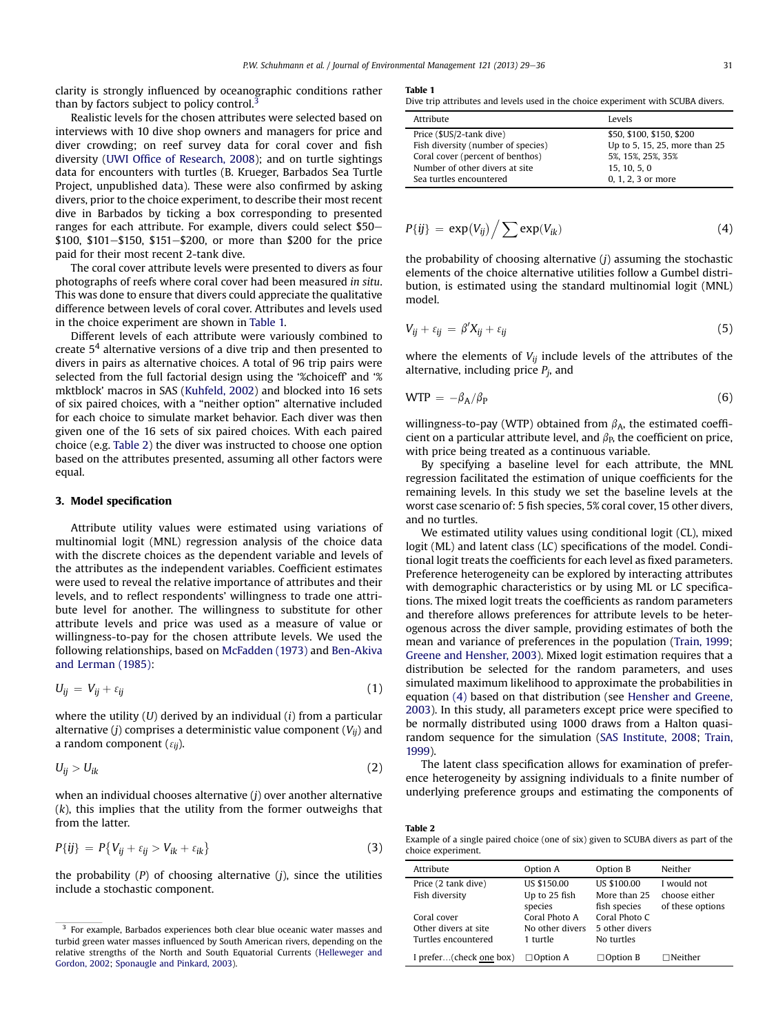<span id="page-2-0"></span>clarity is strongly influenced by oceanographic conditions rather than by factors subject to policy control. $\frac{3}{2}$ 

Realistic levels for the chosen attributes were selected based on interviews with 10 dive shop owners and managers for price and diver crowding; on reef survey data for coral cover and fish diversity (UWI Offi[ce of Research, 2008\)](#page-7-0); and on turtle sightings data for encounters with turtles (B. Krueger, Barbados Sea Turtle Project, unpublished data). These were also confirmed by asking divers, prior to the choice experiment, to describe their most recent dive in Barbados by ticking a box corresponding to presented ranges for each attribute. For example, divers could select \$50- $$100, $101 - $150, $151 - $200, or more than $200 for the price$ paid for their most recent 2-tank dive.

The coral cover attribute levels were presented to divers as four photographs of reefs where coral cover had been measured in situ. This was done to ensure that divers could appreciate the qualitative difference between levels of coral cover. Attributes and levels used in the choice experiment are shown in Table 1.

Different levels of each attribute were variously combined to create  $5<sup>4</sup>$  alternative versions of a dive trip and then presented to divers in pairs as alternative choices. A total of 96 trip pairs were selected from the full factorial design using the '%choiceff' and '% mktblock' macros in SAS [\(Kuhfeld, 2002](#page-6-0)) and blocked into 16 sets of six paired choices, with a "neither option" alternative included for each choice to simulate market behavior. Each diver was then given one of the 16 sets of six paired choices. With each paired choice (e.g. Table 2) the diver was instructed to choose one option based on the attributes presented, assuming all other factors were equal.

## 3. Model specification

Attribute utility values were estimated using variations of multinomial logit (MNL) regression analysis of the choice data with the discrete choices as the dependent variable and levels of the attributes as the independent variables. Coefficient estimates were used to reveal the relative importance of attributes and their levels, and to reflect respondents' willingness to trade one attribute level for another. The willingness to substitute for other attribute levels and price was used as a measure of value or willingness-to-pay for the chosen attribute levels. We used the following relationships, based on [McFadden \(1973\)](#page-6-0) and [Ben-Akiva](#page-6-0) [and Lerman \(1985\):](#page-6-0)

$$
U_{ij} = V_{ij} + \varepsilon_{ij} \tag{1}
$$

where the utility  $(U)$  derived by an individual  $(i)$  from a particular alternative (j) comprises a deterministic value component  $(V_{ii})$  and a random component ( $\varepsilon_{ii}$ ).

$$
U_{ij} > U_{ik} \tag{2}
$$

when an individual chooses alternative  $(j)$  over another alternative  $(k)$ , this implies that the utility from the former outweighs that from the latter.

$$
P\{ij\} = P\{V_{ij} + \varepsilon_{ij} > V_{ik} + \varepsilon_{ik}\}\tag{3}
$$

the probability  $(P)$  of choosing alternative  $(i)$ , since the utilities include a stochastic component.

#### Table 1

Table 2

Dive trip attributes and levels used in the choice experiment with SCUBA divers.

| Attribute                          | Levels                        |
|------------------------------------|-------------------------------|
| Price (\$US/2-tank dive)           | \$50, \$100, \$150, \$200     |
| Fish diversity (number of species) | Up to 5, 15, 25, more than 25 |
| Coral cover (percent of benthos)   | 5%, 15%, 25%, 35%             |
| Number of other divers at site     | 15, 10, 5, 0                  |
| Sea turtles encountered            | 0, 1, 2, 3 or more            |

$$
P\{ij\} = \exp(V_{ij}) / \sum \exp(V_{ik})
$$
\n(4)

the probability of choosing alternative  $(i)$  assuming the stochastic elements of the choice alternative utilities follow a Gumbel distribution, is estimated using the standard multinomial logit (MNL) model.

$$
V_{ij} + \varepsilon_{ij} = \beta' X_{ij} + \varepsilon_{ij} \tag{5}
$$

where the elements of  $V_{ij}$  include levels of the attributes of the alternative, including price  $P_i$ , and

$$
WTP = -\beta_A/\beta_P \tag{6}
$$

willingness-to-pay (WTP) obtained from  $\beta_A$ , the estimated coefficient on a particular attribute level, and  $\beta_{\rm P}$ , the coefficient on price, with price being treated as a continuous variable.

By specifying a baseline level for each attribute, the MNL regression facilitated the estimation of unique coefficients for the remaining levels. In this study we set the baseline levels at the worst case scenario of: 5 fish species, 5% coral cover, 15 other divers, and no turtles.

We estimated utility values using conditional logit (CL), mixed logit (ML) and latent class (LC) specifications of the model. Conditional logit treats the coefficients for each level as fixed parameters. Preference heterogeneity can be explored by interacting attributes with demographic characteristics or by using ML or LC specifications. The mixed logit treats the coefficients as random parameters and therefore allows preferences for attribute levels to be heterogenous across the diver sample, providing estimates of both the mean and variance of preferences in the population ([Train, 1999;](#page-7-0) [Greene and Hensher, 2003](#page-6-0)). Mixed logit estimation requires that a distribution be selected for the random parameters, and uses simulated maximum likelihood to approximate the probabilities in equation (4) based on that distribution (see [Hensher and Greene,](#page-6-0) [2003\)](#page-6-0). In this study, all parameters except price were specified to be normally distributed using 1000 draws from a Halton quasirandom sequence for the simulation ([SAS Institute, 2008;](#page-7-0) [Train,](#page-7-0) [1999\)](#page-7-0).

The latent class specification allows for examination of preference heterogeneity by assigning individuals to a finite number of underlying preference groups and estimating the components of

Example of a single paired choice (one of six) given to SCUBA divers as part of the choice experiment.

| Attribute               | Option A        | Option B           | Neither          |
|-------------------------|-----------------|--------------------|------------------|
| Price (2 tank dive)     | US \$150.00     | <b>US \$100.00</b> | I would not      |
| Fish diversity          | Up to 25 fish   | More than 25       | choose either    |
|                         | species         | fish species       | of these options |
| Coral cover             | Coral Photo A   | Coral Photo C      |                  |
| Other divers at site    | No other divers | 5 other divers     |                  |
| Turtles encountered     | 1 turtle        | No turtles         |                  |
| I prefer(check one box) | $\Box$ Option A | $\Box$ Option B    | $\Box$ Neither   |

 $3$  For example, Barbados experiences both clear blue oceanic water masses and turbid green water masses influenced by South American rivers, depending on the relative strengths of the North and South Equatorial Currents ([Helleweger and](#page-6-0) [Gordon, 2002](#page-6-0); [Sponaugle and Pinkard, 2003](#page-7-0)).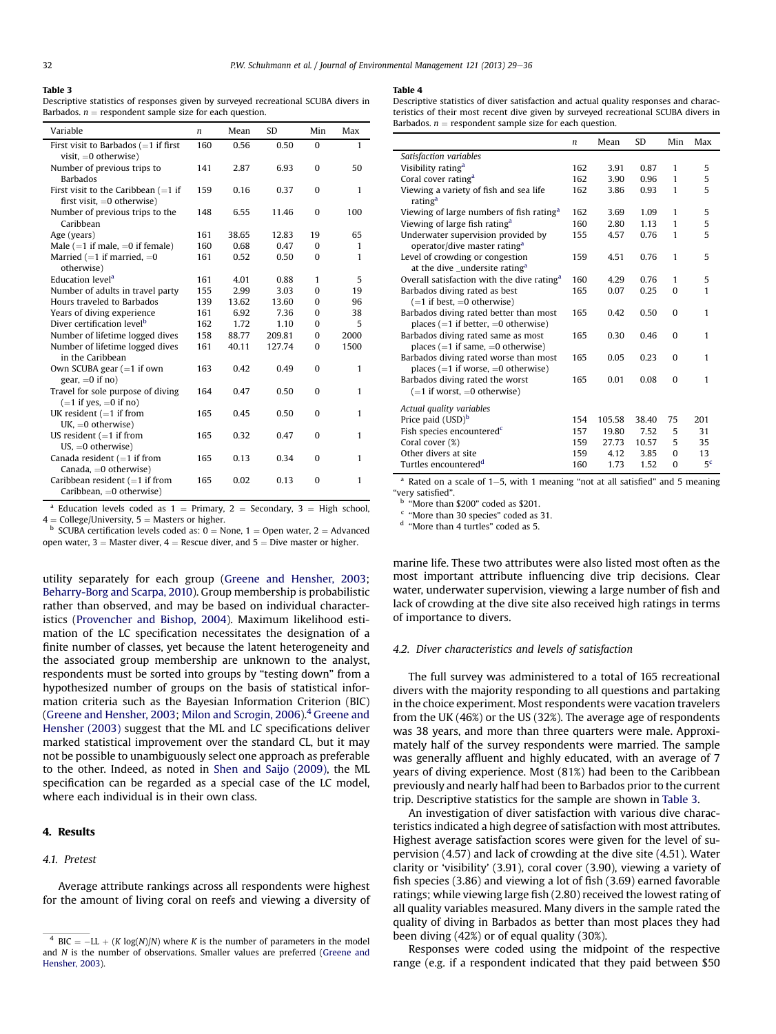#### <span id="page-3-0"></span>Table 3

Descriptive statistics of responses given by surveyed recreational SCUBA divers in Barbados.  $n =$  respondent sample size for each question.

| Variable                                                              | $\boldsymbol{n}$ | Mean  | <b>SD</b> | Min      | Max  |
|-----------------------------------------------------------------------|------------------|-------|-----------|----------|------|
| First visit to Barbados $(=1$ if first<br>visit, $=0$ otherwise)      | 160              | 0.56  | 0.50      | $\Omega$ | 1    |
| Number of previous trips to<br><b>Barbados</b>                        | 141              | 2.87  | 6.93      | $\Omega$ | 50   |
| First visit to the Caribbean $(=1$ if<br>first visit, $=0$ otherwise) | 159              | 0.16  | 0.37      | $\Omega$ | 1    |
| Number of previous trips to the<br>Caribbean                          | 148              | 6.55  | 11.46     | $\Omega$ | 100  |
| Age (years)                                                           | 161              | 38.65 | 12.83     | 19       | 65   |
| Male $(=1$ if male, $=0$ if female)                                   | 160              | 0.68  | 0.47      | $\Omega$ | 1    |
| Married $(=1$ if married, $=0$<br>otherwise)                          | 161              | 0.52  | 0.50      | $\Omega$ | 1    |
| Education level <sup>a</sup>                                          | 161              | 4.01  | 0.88      | 1        | 5    |
| Number of adults in travel party                                      | 155              | 2.99  | 3.03      | $\Omega$ | 19   |
| Hours traveled to Barbados                                            | 139              | 13.62 | 13.60     | $\Omega$ | 96   |
| Years of diving experience                                            | 161              | 6.92  | 7.36      | $\Omega$ | 38   |
| Diver certification level <sup>b</sup>                                | 162              | 1.72  | 1.10      | $\Omega$ | 5    |
| Number of lifetime logged dives                                       | 158              | 88.77 | 209.81    | $\Omega$ | 2000 |
| Number of lifetime logged dives<br>in the Caribbean                   | 161              | 40.11 | 127.74    | 0        | 1500 |
| Own SCUBA gear $(=1$ if own<br>gear, $=0$ if no)                      | 163              | 0.42  | 0.49      | $\Omega$ | 1    |
| Travel for sole purpose of diving<br>$(=1$ if yes, $=0$ if no)        | 164              | 0.47  | 0.50      | $\Omega$ | 1    |
| UK resident $(=1$ if from<br>UK, $=0$ otherwise)                      | 165              | 0.45  | 0.50      | $\Omega$ | 1    |
| US resident $(=1$ if from<br>$US = 0$ otherwise)                      | 165              | 0.32  | 0.47      | $\Omega$ | 1    |
| Canada resident $(=1$ if from<br>Canada, $=0$ otherwise)              | 165              | 0.13  | 0.34      | $\Omega$ | 1    |
| Caribbean resident $(=1$ if from<br>Caribbean, $=0$ otherwise)        | 165              | 0.02  | 0.13      | $\Omega$ | 1    |

<sup>a</sup> Education levels coded as  $1 =$  Primary,  $2 =$  Secondary,  $3 =$  High school,<br>4 = College/University,  $5 =$  Masters or higher.<br>b SCUPA extinction layele scaled as: 0. Note  $3 =$  Ossessments  $2 = 3$ .

 $SCUBA$  certification levels coded as:  $0 =$  None,  $1 =$  Open water, 2  $=$  Advanced open water,  $3 =$  Master diver,  $4 =$  Rescue diver, and  $5 =$  Dive master or higher.

utility separately for each group [\(Greene and Hensher, 2003](#page-6-0); [Beharry-Borg and Scarpa, 2010\)](#page-6-0). Group membership is probabilistic rather than observed, and may be based on individual characteristics ([Provencher and Bishop, 2004\)](#page-7-0). Maximum likelihood estimation of the LC specification necessitates the designation of a finite number of classes, yet because the latent heterogeneity and the associated group membership are unknown to the analyst, respondents must be sorted into groups by "testing down" from a hypothesized number of groups on the basis of statistical information criteria such as the Bayesian Information Criterion (BIC) ([Greene and Hensher, 2003;](#page-6-0) [Milon and Scrogin, 2006\)](#page-7-0).<sup>4</sup> [Greene and](#page-6-0) [Hensher \(2003\)](#page-6-0) suggest that the ML and LC specifications deliver marked statistical improvement over the standard CL, but it may not be possible to unambiguously select one approach as preferable to the other. Indeed, as noted in [Shen and Saijo \(2009\),](#page-7-0) the ML specification can be regarded as a special case of the LC model, where each individual is in their own class.

## 4. Results

# 4.1. Pretest

Average attribute rankings across all respondents were highest for the amount of living coral on reefs and viewing a diversity of

#### Table 4

Descriptive statistics of diver satisfaction and actual quality responses and characteristics of their most recent dive given by surveyed recreational SCUBA divers in Barbados.  $n =$  respondent sample size for each question.

|                                                                                   | n   | Mean   | <b>SD</b> | Min      | Max            |
|-----------------------------------------------------------------------------------|-----|--------|-----------|----------|----------------|
| Satisfaction variables                                                            |     |        |           |          |                |
| Visibility rating <sup>a</sup>                                                    | 162 | 3.91   | 0.87      | 1        | 5              |
| Coral cover rating <sup>a</sup>                                                   | 162 | 3.90   | 0.96      | 1        | 5              |
| Viewing a variety of fish and sea life<br>rating <sup>a</sup>                     | 162 | 3.86   | 0.93      | 1        | 5              |
| Viewing of large numbers of fish rating <sup>a</sup>                              | 162 | 3.69   | 1.09      | 1        | 5              |
| Viewing of large fish rating <sup>a</sup>                                         | 160 | 2.80   | 1.13      | 1        | 5              |
| Underwater supervision provided by<br>operator/dive master rating <sup>a</sup>    | 155 | 4.57   | 0.76      | 1        | 5              |
| Level of crowding or congestion<br>at the dive _undersite rating <sup>a</sup>     | 159 | 4.51   | 0.76      | 1        | 5              |
| Overall satisfaction with the dive rating <sup>a</sup>                            | 160 | 4.29   | 0.76      | 1        | 5              |
| Barbados diving rated as best<br>$(=1$ if best, $=0$ otherwise)                   | 165 | 0.07   | 0.25      | $\Omega$ | 1              |
| Barbados diving rated better than most<br>places $(=1$ if better, $=0$ otherwise) | 165 | 0.42   | 0.50      | $\Omega$ | 1              |
| Barbados diving rated same as most<br>places $(=1$ if same, $=0$ otherwise)       | 165 | 0.30   | 0.46      | $\Omega$ | 1              |
| Barbados diving rated worse than most<br>places $(=1$ if worse, $=0$ otherwise)   | 165 | 0.05   | 0.23      | $\Omega$ | 1              |
| Barbados diving rated the worst<br>$(=1$ if worst, $=0$ otherwise)                | 165 | 0.01   | 0.08      | $\Omega$ | 1              |
| Actual quality variables                                                          |     |        |           |          |                |
| Price paid (USD) <sup>b</sup>                                                     | 154 | 105.58 | 38.40     | 75       | 201            |
| Fish species encountered <sup>c</sup>                                             | 157 | 19.80  | 7.52      | 5        | 31             |
| Coral cover (%)                                                                   | 159 | 27.73  | 10.57     | 5        | 35             |
| Other divers at site                                                              | 159 | 4.12   | 3.85      | $\Omega$ | 13             |
| Turtles encountered <sup>d</sup>                                                  | 160 | 1.73   | 1.52      | $\Omega$ | 5 <sup>c</sup> |

 $a$  Rated on a scale of 1-5, with 1 meaning "not at all satisfied" and 5 meaning "very satisfied".

"More than  $$200"$  coded as  $$201$ .

 $c$  "More than 30 species" coded as 31.

<sup>d</sup> "More than 4 turtles" coded as 5.

marine life. These two attributes were also listed most often as the most important attribute influencing dive trip decisions. Clear water, underwater supervision, viewing a large number of fish and lack of crowding at the dive site also received high ratings in terms of importance to divers.

#### 4.2. Diver characteristics and levels of satisfaction

The full survey was administered to a total of 165 recreational divers with the majority responding to all questions and partaking in the choice experiment. Most respondents were vacation travelers from the UK (46%) or the US (32%). The average age of respondents was 38 years, and more than three quarters were male. Approximately half of the survey respondents were married. The sample was generally affluent and highly educated, with an average of 7 years of diving experience. Most (81%) had been to the Caribbean previously and nearly half had been to Barbados prior to the current trip. Descriptive statistics for the sample are shown in Table 3.

An investigation of diver satisfaction with various dive characteristics indicated a high degree of satisfaction with most attributes. Highest average satisfaction scores were given for the level of supervision (4.57) and lack of crowding at the dive site (4.51). Water clarity or 'visibility' (3.91), coral cover (3.90), viewing a variety of fish species (3.86) and viewing a lot of fish (3.69) earned favorable ratings; while viewing large fish (2.80) received the lowest rating of all quality variables measured. Many divers in the sample rated the quality of diving in Barbados as better than most places they had been diving (42%) or of equal quality (30%).

Responses were coded using the midpoint of the respective range (e.g. if a respondent indicated that they paid between \$50

<sup>&</sup>lt;sup>4</sup> BIC =  $-LL + (K \log(N)/N)$  where K is the number of parameters in the model and N is the number of observations. Smaller values are preferred ([Greene and](#page-6-0) [Hensher, 2003\)](#page-6-0).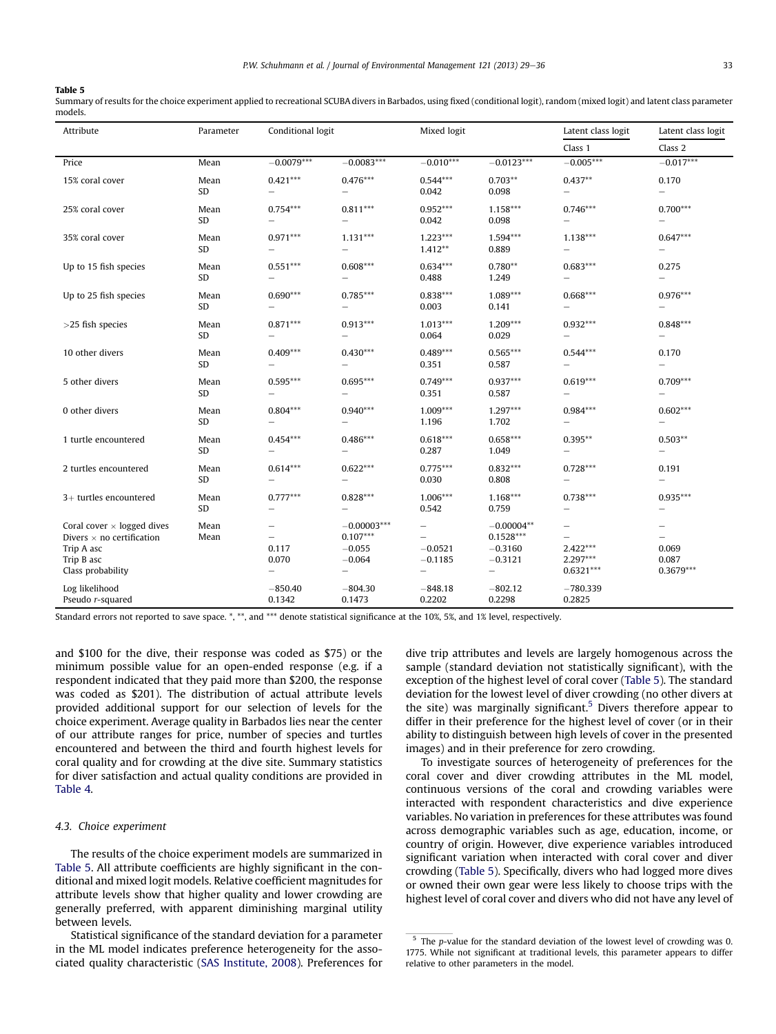### <span id="page-4-0"></span>Table 5

Summary of results for the choice experiment applied to recreational SCUBA divers in Barbados, using fixed (conditional logit), random (mixed logit) and latent class parameter models.

|                                                                                                                                                              |              |                                                            | Conditional logit                                                                                      | Mixed logit                                                               |                                                                              | Latent class logit                                                   | Latent class logit                                             |
|--------------------------------------------------------------------------------------------------------------------------------------------------------------|--------------|------------------------------------------------------------|--------------------------------------------------------------------------------------------------------|---------------------------------------------------------------------------|------------------------------------------------------------------------------|----------------------------------------------------------------------|----------------------------------------------------------------|
|                                                                                                                                                              |              |                                                            |                                                                                                        |                                                                           |                                                                              | Class 1                                                              | Class 2                                                        |
| Price                                                                                                                                                        | Mean         | $-0.0079***$                                               | $-0.0083***$                                                                                           | $-0.010***$                                                               | $-0.0123***$                                                                 | $-0.005***$                                                          | $-0.017***$                                                    |
| 15% coral cover                                                                                                                                              | Mean<br>SD   | $0.421***$<br>$\overline{\phantom{0}}$                     | $0.476***$<br>$\overline{\phantom{0}}$                                                                 | $0.544***$<br>0.042                                                       | $0.703**$<br>0.098                                                           | $0.437**$<br>$\qquad \qquad -$                                       | 0.170<br>$\overline{\phantom{0}}$                              |
| 25% coral cover                                                                                                                                              | Mean<br>SD   | $0.754***$<br>$\overline{\phantom{0}}$                     | $0.811***$<br>$\overline{\phantom{0}}$                                                                 | $0.952***$<br>0.042                                                       | $1.158***$<br>0.098                                                          | $0.746***$<br>$\overline{\phantom{0}}$                               | $0.700***$                                                     |
| 35% coral cover                                                                                                                                              | Mean<br>SD   | $0.971***$                                                 | $1.131***$                                                                                             | $1.223***$<br>$1.412**$                                                   | $1.594***$<br>0.889                                                          | $1.138***$                                                           | $0.647***$                                                     |
| Up to 15 fish species                                                                                                                                        | Mean<br>SD   | $0.551***$<br>$\qquad \qquad -$                            | $0.608***$<br>$\overline{\phantom{0}}$                                                                 | $0.634***$<br>0.488                                                       | $0.780**$<br>1.249                                                           | $0.683***$<br>$\overline{\phantom{0}}$                               | 0.275<br>-                                                     |
| Up to 25 fish species                                                                                                                                        | Mean<br>SD   | $0.690***$<br>$\overline{\phantom{0}}$                     | $0.785***$                                                                                             | $0.838***$<br>0.003                                                       | $1.089***$<br>0.141                                                          | $0.668***$<br>$\overline{\phantom{0}}$                               | $0.976***$                                                     |
| $>25$ fish species                                                                                                                                           | Mean<br>SD   | $0.871***$<br>$\overline{\phantom{0}}$                     | $0.913***$<br>$\overline{\phantom{0}}$                                                                 | $1.013***$<br>0.064                                                       | $1.209***$<br>0.029                                                          | $0.932***$<br>$\overline{\phantom{0}}$                               | $0.848***$                                                     |
| 10 other divers                                                                                                                                              | Mean<br>SD   | $0.409***$                                                 | $0.430***$                                                                                             | $0.489***$<br>0.351                                                       | $0.565***$<br>0.587                                                          | $0.544***$                                                           | 0.170                                                          |
| 5 other divers                                                                                                                                               | Mean<br>SD   | $0.595***$<br>$\overline{\phantom{0}}$                     | $0.695***$<br>$\overline{\phantom{0}}$                                                                 | $0.749***$<br>0.351                                                       | $0.937***$<br>0.587                                                          | $0.619***$<br>$\overline{\phantom{0}}$                               | $0.709***$                                                     |
| 0 other divers                                                                                                                                               | Mean<br>SD   | $0.804***$<br>$\overline{\phantom{0}}$                     | $0.940***$                                                                                             | $1.009***$<br>1.196                                                       | $1.297***$<br>1.702                                                          | 0.984***<br>$\overline{\phantom{0}}$                                 | $0.602***$<br>$\overline{\phantom{0}}$                         |
| 1 turtle encountered                                                                                                                                         | Mean<br>SD   | $0.454***$                                                 | $0.486***$                                                                                             | $0.618***$<br>0.287                                                       | $0.658***$<br>1.049                                                          | $0.395**$<br>$\overline{\phantom{0}}$                                | $0.503**$<br>$\overline{\phantom{0}}$                          |
| 2 turtles encountered                                                                                                                                        | Mean<br>SD   | $0.614***$                                                 | $0.622***$                                                                                             | $0.775***$<br>0.030                                                       | $0.832***$<br>0.808                                                          | $0.728***$                                                           | 0.191                                                          |
| $3+$ turtles encountered                                                                                                                                     | Mean<br>SD   | $0.777***$<br>-                                            | $0.828***$                                                                                             | $1.006***$<br>0.542                                                       | $1.168***$<br>0.759                                                          | $0.738***$<br>-                                                      | $0.935***$<br>-                                                |
| Coral cover $\times$ logged dives<br>Divers $\times$ no certification<br>Trip A asc<br>Trip B asc<br>Class probability<br>Log likelihood<br>Pseudo r-squared | Mean<br>Mean | $\qquad \qquad -$<br>0.117<br>0.070<br>$-850.40$<br>0.1342 | $-0.00003***$<br>$0.107***$<br>$-0.055$<br>$-0.064$<br>$\overline{\phantom{0}}$<br>$-804.30$<br>0.1473 | $\overline{\phantom{0}}$<br>$-0.0521$<br>$-0.1185$<br>$-848.18$<br>0.2202 | $-0.00004**$<br>$0.1528***$<br>$-0.3160$<br>$-0.3121$<br>$-802.12$<br>0.2298 | -<br>$2.422***$<br>$2.297***$<br>$0.6321***$<br>$-780.339$<br>0.2825 | $\overline{\phantom{0}}$<br>-<br>0.069<br>0.087<br>$0.3679***$ |

Standard errors not reported to save space. \*, \*\*, and \*\*\* denote statistical significance at the 10%, 5%, and 1% level, respectively.

and \$100 for the dive, their response was coded as \$75) or the minimum possible value for an open-ended response (e.g. if a respondent indicated that they paid more than \$200, the response was coded as \$201). The distribution of actual attribute levels provided additional support for our selection of levels for the choice experiment. Average quality in Barbados lies near the center of our attribute ranges for price, number of species and turtles encountered and between the third and fourth highest levels for coral quality and for crowding at the dive site. Summary statistics for diver satisfaction and actual quality conditions are provided in [Table 4.](#page-3-0)

## 4.3. Choice experiment

The results of the choice experiment models are summarized in Table 5. All attribute coefficients are highly significant in the conditional and mixed logit models. Relative coefficient magnitudes for attribute levels show that higher quality and lower crowding are generally preferred, with apparent diminishing marginal utility between levels.

Statistical significance of the standard deviation for a parameter in the ML model indicates preference heterogeneity for the associated quality characteristic [\(SAS Institute, 2008\)](#page-7-0). Preferences for dive trip attributes and levels are largely homogenous across the sample (standard deviation not statistically significant), with the exception of the highest level of coral cover (Table 5). The standard deviation for the lowest level of diver crowding (no other divers at the site) was marginally significant.<sup>5</sup> Divers therefore appear to differ in their preference for the highest level of cover (or in their ability to distinguish between high levels of cover in the presented images) and in their preference for zero crowding.

To investigate sources of heterogeneity of preferences for the coral cover and diver crowding attributes in the ML model, continuous versions of the coral and crowding variables were interacted with respondent characteristics and dive experience variables. No variation in preferences for these attributes was found across demographic variables such as age, education, income, or country of origin. However, dive experience variables introduced significant variation when interacted with coral cover and diver crowding (Table 5). Specifically, divers who had logged more dives or owned their own gear were less likely to choose trips with the highest level of coral cover and divers who did not have any level of

 $5$  The *p*-value for the standard deviation of the lowest level of crowding was 0. 1775. While not significant at traditional levels, this parameter appears to differ relative to other parameters in the model.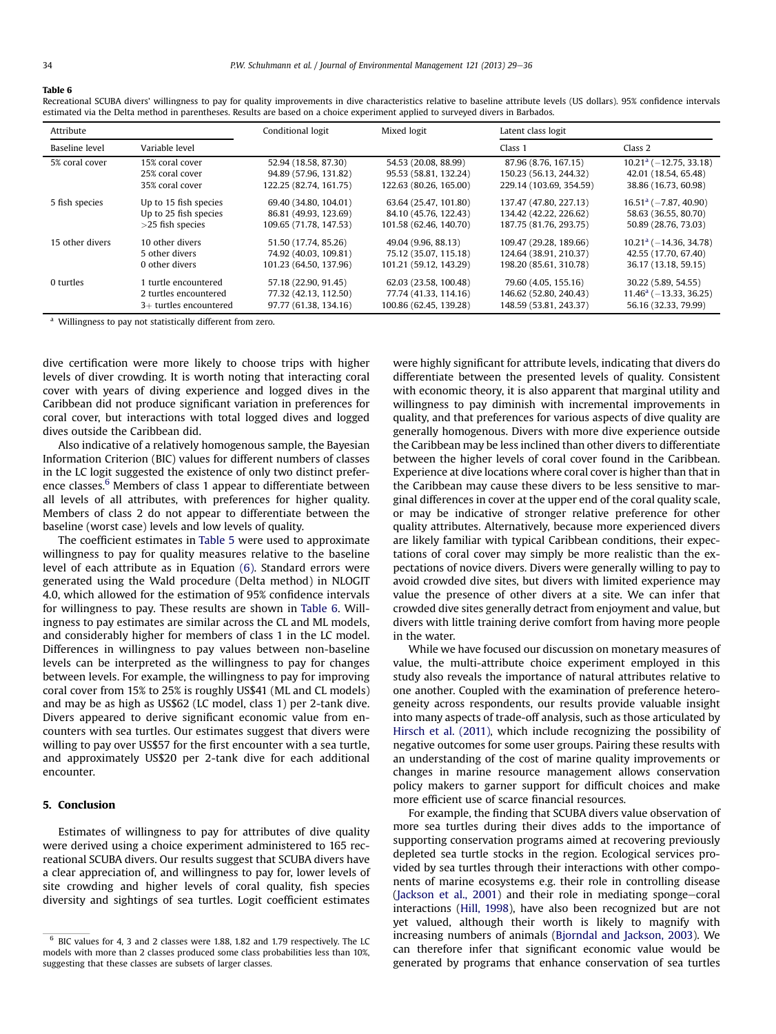#### Table 6

Recreational SCUBA divers' willingness to pay for quality improvements in dive characteristics relative to baseline attribute levels (US dollars). 95% confidence intervals estimated via the Delta method in parentheses. Results are based on a choice experiment applied to surveyed divers in Barbados.

| Attribute       |                          | Conditional logit      | Mixed logit<br>Latent class logit |                         |                          |
|-----------------|--------------------------|------------------------|-----------------------------------|-------------------------|--------------------------|
| Baseline level  | Variable level           |                        |                                   | Class 1                 | Class 2                  |
| 5% coral cover  | 15% coral cover          | 52.94 (18.58, 87.30)   | 54.53 (20.08, 88.99)              | 87.96 (8.76, 167.15)    | $10.21a$ (-12.75, 33.18) |
|                 | 25% coral cover          | 94.89 (57.96, 131.82)  | 95.53 (58.81, 132.24)             | 150.23 (56.13, 244.32)  | 42.01 (18.54, 65.48)     |
|                 | 35% coral cover          | 122.25 (82.74, 161.75) | 122.63 (80.26, 165.00)            | 229.14 (103.69, 354.59) | 38.86 (16.73, 60.98)     |
| 5 fish species  | Up to 15 fish species    | 69.40 (34.80, 104.01)  | 63.64 (25.47, 101.80)             | 137.47 (47.80, 227.13)  | $16.51a$ (-7.87, 40.90)  |
|                 | Up to 25 fish species    | 86.81 (49.93, 123.69)  | 84.10 (45.76, 122.43)             | 134.42 (42.22, 226.62)  | 58.63 (36.55, 80.70)     |
|                 | $>$ 25 fish species      | 109.65 (71.78, 147.53) | 101.58 (62.46, 140.70)            | 187.75 (81.76, 293.75)  | 50.89 (28.76, 73.03)     |
| 15 other divers | 10 other divers          | 51.50 (17.74, 85.26)   | 49.04 (9.96, 88.13)               | 109.47 (29.28, 189.66)  | $10.21a$ (-14.36, 34.78) |
|                 | 5 other divers           | 74.92 (40.03, 109.81)  | 75.12 (35.07, 115.18)             | 124.64 (38.91, 210.37)  | 42.55 (17.70, 67.40)     |
|                 | 0 other divers           | 101.23 (64.50, 137.96) | 101.21 (59.12, 143.29)            | 198.20 (85.61, 310.78)  | 36.17 (13.18, 59.15)     |
| 0 turtles       | 1 turtle encountered     | 57.18 (22.90, 91.45)   | 62.03 (23.58, 100.48)             | 79.60 (4.05, 155.16)    | 30.22 (5.89, 54.55)      |
|                 | 2 turtles encountered    | 77.32 (42.13, 112.50)  | 77.74 (41.33, 114.16)             | 146.62 (52.80, 240.43)  | $11.46a$ (-13.33, 36.25) |
|                 | $3+$ turtles encountered | 97.77 (61.38, 134.16)  | 100.86 (62.45, 139.28)            | 148.59 (53.81, 243.37)  | 56.16 (32.33, 79.99)     |

<sup>a</sup> Willingness to pay not statistically different from zero.

dive certification were more likely to choose trips with higher levels of diver crowding. It is worth noting that interacting coral cover with years of diving experience and logged dives in the Caribbean did not produce significant variation in preferences for coral cover, but interactions with total logged dives and logged dives outside the Caribbean did.

Also indicative of a relatively homogenous sample, the Bayesian Information Criterion (BIC) values for different numbers of classes in the LC logit suggested the existence of only two distinct preference classes.<sup>6</sup> Members of class 1 appear to differentiate between all levels of all attributes, with preferences for higher quality. Members of class 2 do not appear to differentiate between the baseline (worst case) levels and low levels of quality.

The coefficient estimates in [Table 5](#page-4-0) were used to approximate willingness to pay for quality measures relative to the baseline level of each attribute as in Equation [\(6\)](#page-2-0). Standard errors were generated using the Wald procedure (Delta method) in NLOGIT 4.0, which allowed for the estimation of 95% confidence intervals for willingness to pay. These results are shown in Table 6. Willingness to pay estimates are similar across the CL and ML models, and considerably higher for members of class 1 in the LC model. Differences in willingness to pay values between non-baseline levels can be interpreted as the willingness to pay for changes between levels. For example, the willingness to pay for improving coral cover from 15% to 25% is roughly US\$41 (ML and CL models) and may be as high as US\$62 (LC model, class 1) per 2-tank dive. Divers appeared to derive significant economic value from encounters with sea turtles. Our estimates suggest that divers were willing to pay over US\$57 for the first encounter with a sea turtle, and approximately US\$20 per 2-tank dive for each additional encounter.

# 5. Conclusion

Estimates of willingness to pay for attributes of dive quality were derived using a choice experiment administered to 165 recreational SCUBA divers. Our results suggest that SCUBA divers have a clear appreciation of, and willingness to pay for, lower levels of site crowding and higher levels of coral quality, fish species diversity and sightings of sea turtles. Logit coefficient estimates were highly significant for attribute levels, indicating that divers do differentiate between the presented levels of quality. Consistent with economic theory, it is also apparent that marginal utility and willingness to pay diminish with incremental improvements in quality, and that preferences for various aspects of dive quality are generally homogenous. Divers with more dive experience outside the Caribbean may be less inclined than other divers to differentiate between the higher levels of coral cover found in the Caribbean. Experience at dive locations where coral cover is higher than that in the Caribbean may cause these divers to be less sensitive to marginal differences in cover at the upper end of the coral quality scale, or may be indicative of stronger relative preference for other quality attributes. Alternatively, because more experienced divers are likely familiar with typical Caribbean conditions, their expectations of coral cover may simply be more realistic than the expectations of novice divers. Divers were generally willing to pay to avoid crowded dive sites, but divers with limited experience may value the presence of other divers at a site. We can infer that crowded dive sites generally detract from enjoyment and value, but divers with little training derive comfort from having more people in the water.

While we have focused our discussion on monetary measures of value, the multi-attribute choice experiment employed in this study also reveals the importance of natural attributes relative to one another. Coupled with the examination of preference heterogeneity across respondents, our results provide valuable insight into many aspects of trade-off analysis, such as those articulated by [Hirsch et al. \(2011\)](#page-6-0), which include recognizing the possibility of negative outcomes for some user groups. Pairing these results with an understanding of the cost of marine quality improvements or changes in marine resource management allows conservation policy makers to garner support for difficult choices and make more efficient use of scarce financial resources.

For example, the finding that SCUBA divers value observation of more sea turtles during their dives adds to the importance of supporting conservation programs aimed at recovering previously depleted sea turtle stocks in the region. Ecological services provided by sea turtles through their interactions with other components of marine ecosystems e.g. their role in controlling disease (Jackson et al.,  $2001$ ) and their role in mediating sponge-coral interactions ([Hill, 1998\)](#page-6-0), have also been recognized but are not yet valued, although their worth is likely to magnify with increasing numbers of animals ([Bjorndal and Jackson, 2003](#page-6-0)). We can therefore infer that significant economic value would be generated by programs that enhance conservation of sea turtles

 $6$  BIC values for 4, 3 and 2 classes were 1.88, 1.82 and 1.79 respectively. The LC models with more than 2 classes produced some class probabilities less than 10%, suggesting that these classes are subsets of larger classes.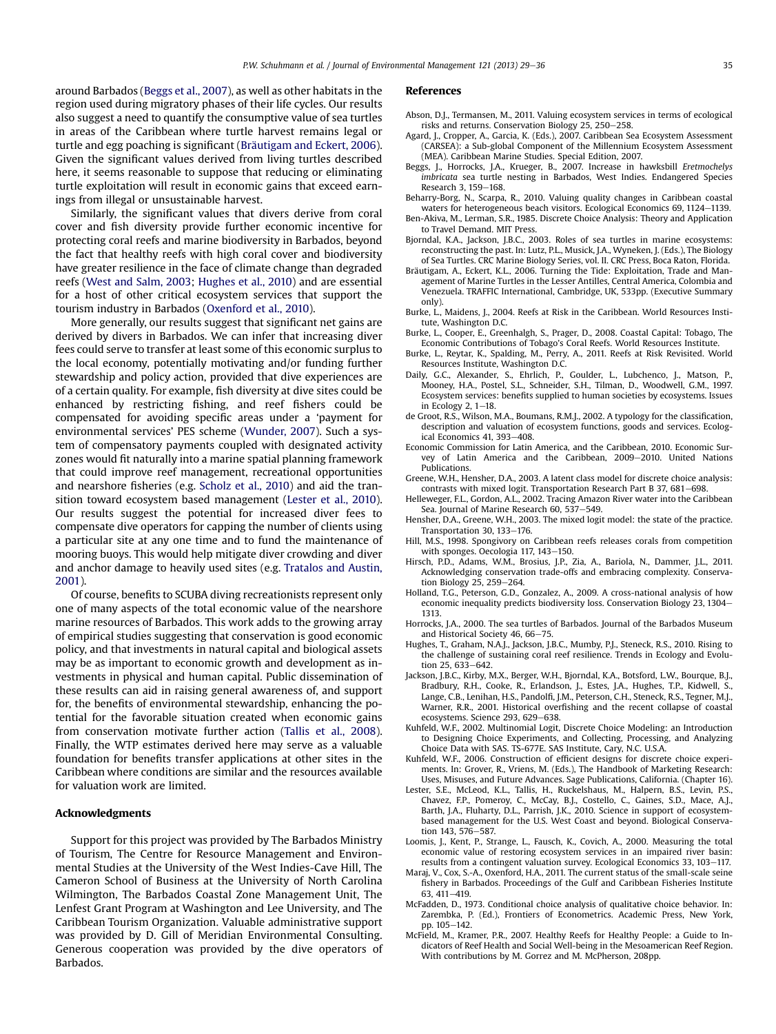<span id="page-6-0"></span>around Barbados (Beggs et al., 2007), as well as other habitats in the region used during migratory phases of their life cycles. Our results also suggest a need to quantify the consumptive value of sea turtles in areas of the Caribbean where turtle harvest remains legal or turtle and egg poaching is significant (Bräutigam and Eckert, 2006). Given the significant values derived from living turtles described here, it seems reasonable to suppose that reducing or eliminating turtle exploitation will result in economic gains that exceed earnings from illegal or unsustainable harvest.

Similarly, the significant values that divers derive from coral cover and fish diversity provide further economic incentive for protecting coral reefs and marine biodiversity in Barbados, beyond the fact that healthy reefs with high coral cover and biodiversity have greater resilience in the face of climate change than degraded reefs [\(West and Salm, 2003;](#page-7-0) Hughes et al., 2010) and are essential for a host of other critical ecosystem services that support the tourism industry in Barbados ([Oxenford et al., 2010](#page-7-0)).

More generally, our results suggest that significant net gains are derived by divers in Barbados. We can infer that increasing diver fees could serve to transfer at least some of this economic surplus to the local economy, potentially motivating and/or funding further stewardship and policy action, provided that dive experiences are of a certain quality. For example, fish diversity at dive sites could be enhanced by restricting fishing, and reef fishers could be compensated for avoiding specific areas under a 'payment for environmental services' PES scheme ([Wunder, 2007](#page-7-0)). Such a system of compensatory payments coupled with designated activity zones would fit naturally into a marine spatial planning framework that could improve reef management, recreational opportunities and nearshore fisheries (e.g. [Scholz et al., 2010](#page-7-0)) and aid the transition toward ecosystem based management (Lester et al., 2010). Our results suggest the potential for increased diver fees to compensate dive operators for capping the number of clients using a particular site at any one time and to fund the maintenance of mooring buoys. This would help mitigate diver crowding and diver and anchor damage to heavily used sites (e.g. [Tratalos and Austin,](#page-7-0) [2001\)](#page-7-0).

Of course, benefits to SCUBA diving recreationists represent only one of many aspects of the total economic value of the nearshore marine resources of Barbados. This work adds to the growing array of empirical studies suggesting that conservation is good economic policy, and that investments in natural capital and biological assets may be as important to economic growth and development as investments in physical and human capital. Public dissemination of these results can aid in raising general awareness of, and support for, the benefits of environmental stewardship, enhancing the potential for the favorable situation created when economic gains from conservation motivate further action [\(Tallis et al., 2008\)](#page-7-0). Finally, the WTP estimates derived here may serve as a valuable foundation for benefits transfer applications at other sites in the Caribbean where conditions are similar and the resources available for valuation work are limited.

#### Acknowledgments

Support for this project was provided by The Barbados Ministry of Tourism, The Centre for Resource Management and Environmental Studies at the University of the West Indies-Cave Hill, The Cameron School of Business at the University of North Carolina Wilmington, The Barbados Coastal Zone Management Unit, The Lenfest Grant Program at Washington and Lee University, and The Caribbean Tourism Organization. Valuable administrative support was provided by D. Gill of Meridian Environmental Consulting. Generous cooperation was provided by the dive operators of Barbados.

#### References

- Abson, D.J., Termansen, M., 2011. Valuing ecosystem services in terms of ecological
- risks and returns. Conservation Biology 25, 250–258.<br>Agard, J., Cropper, A., Garcia, K. (Eds.), 2007. Caribbean Sea Ecosystem Assessment (CARSEA): a Sub-global Component of the Millennium Ecosystem Assessment (MEA). Caribbean Marine Studies. Special Edition, 2007.
- Beggs, J., Horrocks, J.A., Krueger, B., 2007. Increase in hawksbill Eretmochelys imbricata sea turtle nesting in Barbados, West Indies. Endangered Species Research 3, 159-168.
- Beharry-Borg, N., Scarpa, R., 2010. Valuing quality changes in Caribbean coastal waters for heterogeneous beach visitors. Ecological Economics 69, 1124-1139.
- Ben-Akiva, M., Lerman, S.R., 1985. Discrete Choice Analysis: Theory and Application to Travel Demand. MIT Press.
- Bjorndal, K.A., Jackson, J.B.C., 2003. Roles of sea turtles in marine ecosystems: reconstructing the past. In: Lutz, P.L., Musick, J.A., Wyneken, J. (Eds.), The Biology of Sea Turtles. CRC Marine Biology Series, vol. II. CRC Press, Boca Raton, Florida.
- Bräutigam, A., Eckert, K.L., 2006. Turning the Tide: Exploitation, Trade and Management of Marine Turtles in the Lesser Antilles, Central America, Colombia and Venezuela. TRAFFIC International, Cambridge, UK, 533pp. (Executive Summary only).
- Burke, L., Maidens, J., 2004. Reefs at Risk in the Caribbean. World Resources Institute, Washington D.C.
- Burke, L., Cooper, E., Greenhalgh, S., Prager, D., 2008. Coastal Capital: Tobago, The Economic Contributions of Tobago's Coral Reefs. World Resources Institute.
- Burke, L., Reytar, K., Spalding, M., Perry, A., 2011. Reefs at Risk Revisited. World Resources Institute, Washington D.C.
- Daily, G.C., Alexander, S., Ehrlich, P., Goulder, L., Lubchenco, J., Matson, P., Mooney, H.A., Postel, S.L., Schneider, S.H., Tilman, D., Woodwell, G.M., 1997. Ecosystem services: benefits supplied to human societies by ecosystems. Issues in Ecology 2,  $1-18$ .
- de Groot, R.S., Wilson, M.A., Boumans, R.M.J., 2002. A typology for the classification, description and valuation of ecosystem functions, goods and services. Ecological Economics 41, 393-408.
- Economic Commission for Latin America, and the Caribbean, 2010. Economic Survey of Latin America and the Caribbean, 2009-2010. United Nations Publications.
- Greene, W.H., Hensher, D.A., 2003. A latent class model for discrete choice analysis: contrasts with mixed logit. Transportation Research Part B 37, 681-698.
- Helleweger, F.L., Gordon, A.L., 2002. Tracing Amazon River water into the Caribbean Sea. Journal of Marine Research 60, 537-549.
- Hensher, D.A., Greene, W.H., 2003. The mixed logit model: the state of the practice. Transportation 30, 133-176.
- Hill, M.S., 1998. Spongivory on Caribbean reefs releases corals from competition with sponges. Oecologia 117, 143-150.
- Hirsch, P.D., Adams, W.M., Brosius, J.P., Zia, A., Bariola, N., Dammer, J.L., 2011. Acknowledging conservation trade-offs and embracing complexity. Conservation Biology 25, 259 $-264$ .
- Holland, T.G., Peterson, G.D., Gonzalez, A., 2009. A cross-national analysis of how economic inequality predicts biodiversity loss. Conservation Biology 23, 1304-1313.
- Horrocks, J.A., 2000. The sea turtles of Barbados. Journal of the Barbados Museum and Historical Society 46,  $66-75$ .
- Hughes, T., Graham, N.A.J., Jackson, J.B.C., Mumby, P.J., Steneck, R.S., 2010. Rising to the challenge of sustaining coral reef resilience. Trends in Ecology and Evolution 25,  $633 - 642$ .
- Jackson, J.B.C., Kirby, M.X., Berger, W.H., Bjorndal, K.A., Botsford, L.W., Bourque, B.J., Bradbury, R.H., Cooke, R., Erlandson, J., Estes, J.A., Hughes, T.P., Kidwell, S., Lange, C.B., Lenihan, H.S., Pandolfi, J.M., Peterson, C.H., Steneck, R.S., Tegner, M.J., Warner, R.R., 2001. Historical overfishing and the recent collapse of coastal ecosystems. Science 293, 629-638.
- Kuhfeld, W.F., 2002. Multinomial Logit, Discrete Choice Modeling: an Introduction to Designing Choice Experiments, and Collecting, Processing, and Analyzing Choice Data with SAS. TS-677E. SAS Institute, Cary, N.C. U.S.A.
- Kuhfeld, W.F., 2006. Construction of efficient designs for discrete choice experiments. In: Grover, R., Vriens, M. (Eds.), The Handbook of Marketing Research: Uses, Misuses, and Future Advances. Sage Publications, California. (Chapter 16).
- Lester, S.E., McLeod, K.L., Tallis, H., Ruckelshaus, M., Halpern, B.S., Levin, P.S., Chavez, F.P., Pomeroy, C., McCay, B.J., Costello, C., Gaines, S.D., Mace, A.J., Barth, J.A., Fluharty, D.L., Parrish, J.K., 2010. Science in support of ecosystembased management for the U.S. West Coast and beyond. Biological Conservation 143, 576-587.
- Loomis, J., Kent, P., Strange, L., Fausch, K., Covich, A., 2000. Measuring the total economic value of restoring ecosystem services in an impaired river basin: results from a contingent valuation survey. Ecological Economics 33, 103–117.
- Maraj, V., Cox, S.-A., Oxenford, H.A., 2011. The current status of the small-scale seine fishery in Barbados. Proceedings of the Gulf and Caribbean Fisheries Institute 63,  $411 - 419$ .
- McFadden, D., 1973. Conditional choice analysis of qualitative choice behavior. In: Zarembka, P. (Ed.), Frontiers of Econometrics. Academic Press, New York, pp. 105-142.
- McField, M., Kramer, P.R., 2007. Healthy Reefs for Healthy People: a Guide to Indicators of Reef Health and Social Well-being in the Mesoamerican Reef Region. With contributions by M. Gorrez and M. McPherson, 208pp.